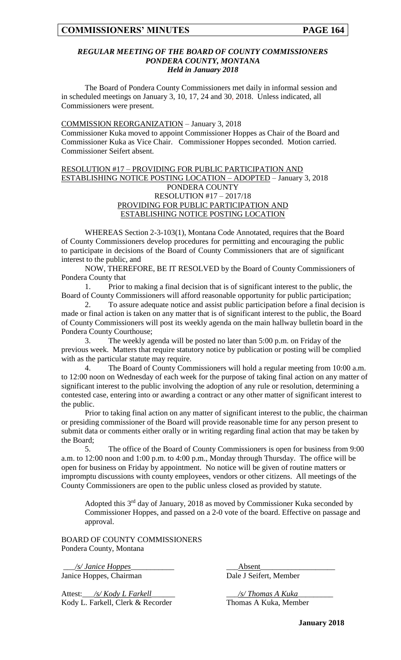#### *REGULAR MEETING OF THE BOARD OF COUNTY COMMISSIONERS PONDERA COUNTY, MONTANA Held in January 2018*

The Board of Pondera County Commissioners met daily in informal session and in scheduled meetings on January 3, 10, 17, 24 and 30, 2018. Unless indicated, all Commissioners were present.

#### COMMISSION REORGANIZATION – January 3, 2018

Commissioner Kuka moved to appoint Commissioner Hoppes as Chair of the Board and Commissioner Kuka as Vice Chair. Commissioner Hoppes seconded. Motion carried. Commissioner Seifert absent.

#### RESOLUTION #17 – PROVIDING FOR PUBLIC PARTICIPATION AND ESTABLISHING NOTICE POSTING LOCATION – ADOPTED – January 3, 2018 PONDERA COUNTY RESOLUTION #17 – 2017/18 PROVIDING FOR PUBLIC PARTICIPATION AND ESTABLISHING NOTICE POSTING LOCATION

WHEREAS Section 2-3-103(1), Montana Code Annotated, requires that the Board of County Commissioners develop procedures for permitting and encouraging the public to participate in decisions of the Board of County Commissioners that are of significant interest to the public, and

NOW, THEREFORE, BE IT RESOLVED by the Board of County Commissioners of Pondera County that

1. Prior to making a final decision that is of significant interest to the public, the Board of County Commissioners will afford reasonable opportunity for public participation;

2. To assure adequate notice and assist public participation before a final decision is made or final action is taken on any matter that is of significant interest to the public, the Board of County Commissioners will post its weekly agenda on the main hallway bulletin board in the Pondera County Courthouse;

3. The weekly agenda will be posted no later than 5:00 p.m. on Friday of the previous week. Matters that require statutory notice by publication or posting will be complied with as the particular statute may require.

4. The Board of County Commissioners will hold a regular meeting from 10:00 a.m. to 12:00 noon on Wednesday of each week for the purpose of taking final action on any matter of significant interest to the public involving the adoption of any rule or resolution, determining a contested case, entering into or awarding a contract or any other matter of significant interest to the public.

Prior to taking final action on any matter of significant interest to the public, the chairman or presiding commissioner of the Board will provide reasonable time for any person present to submit data or comments either orally or in writing regarding final action that may be taken by the Board;

5. The office of the Board of County Commissioners is open for business from 9:00 a.m. to 12:00 noon and 1:00 p.m. to 4:00 p.m., Monday through Thursday. The office will be open for business on Friday by appointment. No notice will be given of routine matters or impromptu discussions with county employees, vendors or other citizens. All meetings of the County Commissioners are open to the public unless closed as provided by statute.

Adopted this 3<sup>rd</sup> day of January, 2018 as moved by Commissioner Kuka seconded by Commissioner Hoppes, and passed on a 2-0 vote of the board. Effective on passage and approval.

BOARD OF COUNTY COMMISSIONERS Pondera County, Montana

\_\_\_*/s/ Janice Hoppes*\_\_\_\_\_\_\_\_\_\_\_ \_\_\_Absent\_\_\_\_\_\_\_\_\_\_\_\_\_\_\_\_\_\_\_ Janice Hoppes, Chairman Dale J Seifert, Member

Attest:\_\_\_*/s/ Kody L Farkell*\_\_\_\_\_\_ \_\_\_*/s/ Thomas A Kuka*\_\_\_\_\_\_\_\_\_ Kody L. Farkell, Clerk & Recorder Thomas A Kuka, Member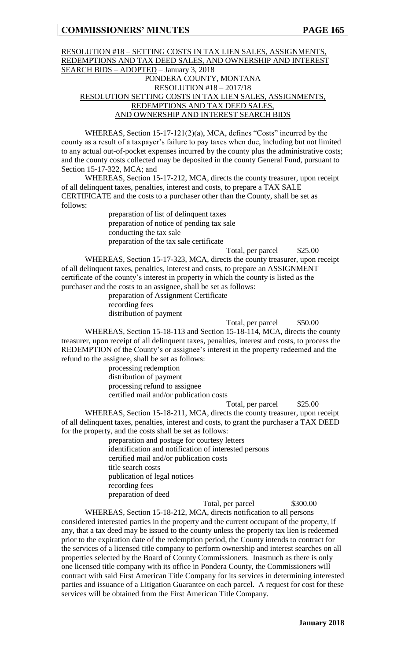#### RESOLUTION #18 – SETTING COSTS IN TAX LIEN SALES, ASSIGNMENTS, REDEMPTIONS AND TAX DEED SALES, AND OWNERSHIP AND INTEREST SEARCH BIDS – ADOPTED – January 3, 2018 PONDERA COUNTY, MONTANA RESOLUTION #18 – 2017/18 RESOLUTION SETTING COSTS IN TAX LIEN SALES, ASSIGNMENTS, REDEMPTIONS AND TAX DEED SALES, AND OWNERSHIP AND INTEREST SEARCH BIDS

WHEREAS, Section 15-17-121(2)(a), MCA, defines "Costs" incurred by the county as a result of a taxpayer's failure to pay taxes when due, including but not limited to any actual out-of-pocket expenses incurred by the county plus the administrative costs; and the county costs collected may be deposited in the county General Fund, pursuant to Section 15-17-322, MCA; and

WHEREAS, Section 15-17-212, MCA, directs the county treasurer, upon receipt of all delinquent taxes, penalties, interest and costs, to prepare a TAX SALE CERTIFICATE and the costs to a purchaser other than the County, shall be set as follows:

> preparation of list of delinquent taxes preparation of notice of pending tax sale conducting the tax sale preparation of the tax sale certificate

> > Total, per parcel  $$25.00$

WHEREAS, Section 15-17-323, MCA, directs the county treasurer, upon receipt of all delinquent taxes, penalties, interest and costs, to prepare an ASSIGNMENT certificate of the county's interest in property in which the county is listed as the purchaser and the costs to an assignee, shall be set as follows:

preparation of Assignment Certificate recording fees distribution of payment

Total, per parcel \$50.00 WHEREAS, Section 15-18-113 and Section 15-18-114, MCA, directs the county treasurer, upon receipt of all delinquent taxes, penalties, interest and costs, to process the REDEMPTION of the County's or assignee's interest in the property redeemed and the refund to the assignee, shall be set as follows:

> processing redemption distribution of payment processing refund to assignee certified mail and/or publication costs

Total, per parcel \$25.00

WHEREAS, Section 15-18-211, MCA, directs the county treasurer, upon receipt of all delinquent taxes, penalties, interest and costs, to grant the purchaser a TAX DEED for the property, and the costs shall be set as follows:

> preparation and postage for courtesy letters identification and notification of interested persons certified mail and/or publication costs title search costs publication of legal notices recording fees preparation of deed

Total, per parcel \$300.00 WHEREAS, Section 15-18-212, MCA, directs notification to all persons considered interested parties in the property and the current occupant of the property, if any, that a tax deed may be issued to the county unless the property tax lien is redeemed prior to the expiration date of the redemption period, the County intends to contract for the services of a licensed title company to perform ownership and interest searches on all properties selected by the Board of County Commissioners. Inasmuch as there is only one licensed title company with its office in Pondera County, the Commissioners will contract with said First American Title Company for its services in determining interested parties and issuance of a Litigation Guarantee on each parcel. A request for cost for these services will be obtained from the First American Title Company.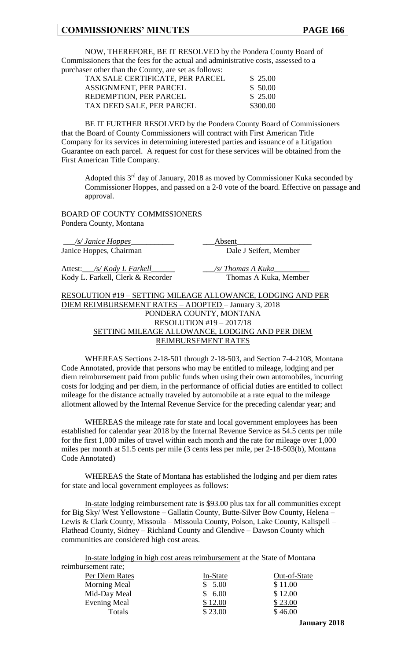NOW, THEREFORE, BE IT RESOLVED by the Pondera County Board of Commissioners that the fees for the actual and administrative costs, assessed to a purchaser other than the County, are set as follows:

| TAX SALE CERTIFICATE, PER PARCEL | \$25.00  |
|----------------------------------|----------|
| ASSIGNMENT, PER PARCEL           | \$50.00  |
| REDEMPTION, PER PARCEL           | \$25.00  |
| TAX DEED SALE, PER PARCEL        | \$300.00 |

BE IT FURTHER RESOLVED by the Pondera County Board of Commissioners that the Board of County Commissioners will contract with First American Title Company for its services in determining interested parties and issuance of a Litigation Guarantee on each parcel. A request for cost for these services will be obtained from the First American Title Company.

Adopted this  $3<sup>rd</sup>$  day of January, 2018 as moved by Commissioner Kuka seconded by Commissioner Hoppes, and passed on a 2-0 vote of the board. Effective on passage and approval.

BOARD OF COUNTY COMMISSIONERS Pondera County, Montana

| <i><u>/s/ Janice Hoppes</u></i>                      | Absent                                                      |
|------------------------------------------------------|-------------------------------------------------------------|
| Janice Hoppes, Chairman                              | Dale J Seifert, Member                                      |
| Attest: /s/ Kody L Farkell                           | /s/Thomas A Kuka                                            |
| Kody L. Farkell, Clerk & Recorder                    | Thomas A Kuka, Member                                       |
|                                                      | RESOLUTION #19 - SETTING MILEAGE ALLOWANCE, LODGING AND PER |
| DIEM REIMBURSEMENT RATES - ADOPTED - January 3, 2018 |                                                             |
|                                                      | PONDERA COUNTY, MONTANA                                     |
|                                                      | PFAOIFIMROII 110 201710                                     |

#### RESOLUTION #19 – 2017/18 SETTING MILEAGE ALLOWANCE, LODGING AND PER DIEM REIMBURSEMENT RATES

WHEREAS Sections 2-18-501 through 2-18-503, and Section 7-4-2108, Montana Code Annotated, provide that persons who may be entitled to mileage, lodging and per diem reimbursement paid from public funds when using their own automobiles, incurring costs for lodging and per diem, in the performance of official duties are entitled to collect mileage for the distance actually traveled by automobile at a rate equal to the mileage allotment allowed by the Internal Revenue Service for the preceding calendar year; and

WHEREAS the mileage rate for state and local government employees has been established for calendar year 2018 by the Internal Revenue Service as 54.5 cents per mile for the first 1,000 miles of travel within each month and the rate for mileage over 1,000 miles per month at 51.5 cents per mile (3 cents less per mile, per 2-18-503(b), Montana Code Annotated)

WHEREAS the State of Montana has established the lodging and per diem rates for state and local government employees as follows:

In-state lodging reimbursement rate is \$93.00 plus tax for all communities except for Big Sky/ West Yellowstone – Gallatin County, Butte-Silver Bow County, Helena – Lewis & Clark County, Missoula – Missoula County, Polson, Lake County, Kalispell – Flathead County, Sidney – Richland County and Glendive – Dawson County which communities are considered high cost areas.

In-state lodging in high cost areas reimbursement at the State of Montana reimbursement rate;

| Per Diem Rates      | In-State | Out-of-State |
|---------------------|----------|--------------|
| Morning Meal        | \$5.00   | \$11.00      |
| Mid-Day Meal        | \$6.00   | \$12.00      |
| <b>Evening Meal</b> | \$12.00  | \$23.00      |
| Totals              | \$23.00  | \$46.00      |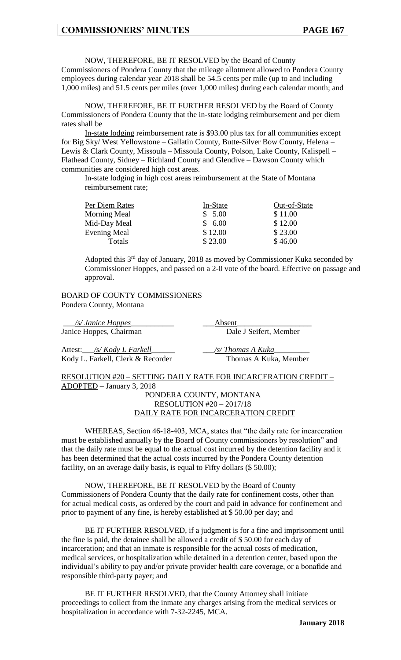NOW, THEREFORE, BE IT RESOLVED by the Board of County Commissioners of Pondera County that the mileage allotment allowed to Pondera County employees during calendar year 2018 shall be 54.5 cents per mile (up to and including 1,000 miles) and 51.5 cents per miles (over 1,000 miles) during each calendar month; and

NOW, THEREFORE, BE IT FURTHER RESOLVED by the Board of County Commissioners of Pondera County that the in-state lodging reimbursement and per diem rates shall be

In-state lodging reimbursement rate is \$93.00 plus tax for all communities except for Big Sky/ West Yellowstone – Gallatin County, Butte-Silver Bow County, Helena – Lewis & Clark County, Missoula – Missoula County, Polson, Lake County, Kalispell – Flathead County, Sidney – Richland County and Glendive – Dawson County which communities are considered high cost areas.

In-state lodging in high cost areas reimbursement at the State of Montana reimbursement rate;

| In-State | Out-of-State |
|----------|--------------|
| \$5.00   | \$11.00      |
| \$6.00   | \$12.00      |
| \$12.00  | \$23.00      |
| \$23.00  | \$46.00      |
|          |              |

Adopted this 3rd day of January, 2018 as moved by Commissioner Kuka seconded by Commissioner Hoppes, and passed on a 2-0 vote of the board. Effective on passage and approval.

#### BOARD OF COUNTY COMMISSIONERS Pondera County, Montana

\_\_\_*/s/ Janice Hoppes*\_\_\_\_\_\_\_\_\_\_\_ \_\_\_Absent\_\_\_\_\_\_\_\_\_\_\_\_\_\_\_\_\_\_\_ Janice Hoppes, Chairman Dale J Seifert, Member

Attest:\_\_\_*/s/ Kody L Farkell*\_\_\_\_\_\_ \_\_\_*/s/ Thomas A Kuka*\_\_\_\_\_\_\_\_\_ Kody L. Farkell, Clerk & Recorder Thomas A Kuka, Member

RESOLUTION #20 – SETTING DAILY RATE FOR INCARCERATION CREDIT – ADOPTED – January 3, 2018

#### PONDERA COUNTY, MONTANA RESOLUTION #20 – 2017/18 DAILY RATE FOR INCARCERATION CREDIT

WHEREAS, Section 46-18-403, MCA, states that "the daily rate for incarceration must be established annually by the Board of County commissioners by resolution" and that the daily rate must be equal to the actual cost incurred by the detention facility and it has been determined that the actual costs incurred by the Pondera County detention facility, on an average daily basis, is equal to Fifty dollars (\$50.00);

NOW, THEREFORE, BE IT RESOLVED by the Board of County Commissioners of Pondera County that the daily rate for confinement costs, other than for actual medical costs, as ordered by the court and paid in advance for confinement and prior to payment of any fine, is hereby established at \$ 50.00 per day; and

BE IT FURTHER RESOLVED, if a judgment is for a fine and imprisonment until the fine is paid, the detainee shall be allowed a credit of \$ 50.00 for each day of incarceration; and that an inmate is responsible for the actual costs of medication, medical services, or hospitalization while detained in a detention center, based upon the individual's ability to pay and/or private provider health care coverage, or a bonafide and responsible third-party payer; and

BE IT FURTHER RESOLVED, that the County Attorney shall initiate proceedings to collect from the inmate any charges arising from the medical services or hospitalization in accordance with 7-32-2245, MCA.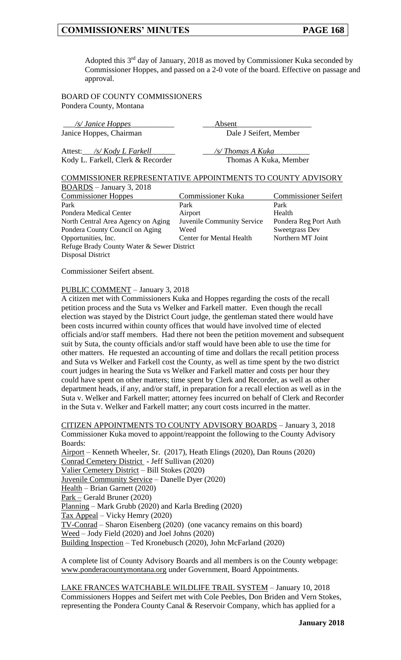Adopted this  $3<sup>rd</sup>$  day of January, 2018 as moved by Commissioner Kuka seconded by Commissioner Hoppes, and passed on a 2-0 vote of the board. Effective on passage and approval.

BOARD OF COUNTY COMMISSIONERS Pondera County, Montana

| /s/ Janice Hoppes_                                          | Absent                   |                             |  |
|-------------------------------------------------------------|--------------------------|-----------------------------|--|
| Janice Hoppes, Chairman                                     | Dale J Seifert, Member   |                             |  |
| Attest: /s/Kody L Farkell                                   | /s/Thomas A Kuka         |                             |  |
| Kody L. Farkell, Clerk & Recorder                           | Thomas A Kuka, Member    |                             |  |
| COMMISSIONER REPRESENTATIVE APPOINTMENTS TO COUNTY ADVISORY |                          |                             |  |
| $\underline{BOARDS}$ – January 3, 2018                      |                          |                             |  |
| <b>Commissioner Hoppes</b>                                  | <b>Commissioner Kuka</b> | <b>Commissioner Seifert</b> |  |
| Park                                                        | Park                     | Park                        |  |
| Pondera Medical Center                                      | Airport                  | Health                      |  |
|                                                             |                          |                             |  |

North Central Area Agency on Aging Juvenile Community Service Pondera Reg Port Auth Pondera County Council on Aging Weed Sweetgrass Dev Opportunities, Inc. Center for Mental Health Northern MT Joint Refuge Brady County Water & Sewer District Disposal District

Commissioner Seifert absent.

#### PUBLIC COMMENT – January 3, 2018

A citizen met with Commissioners Kuka and Hoppes regarding the costs of the recall petition process and the Suta vs Welker and Farkell matter. Even though the recall election was stayed by the District Court judge, the gentleman stated there would have been costs incurred within county offices that would have involved time of elected officials and/or staff members. Had there not been the petition movement and subsequent suit by Suta, the county officials and/or staff would have been able to use the time for other matters. He requested an accounting of time and dollars the recall petition process and Suta vs Welker and Farkell cost the County, as well as time spent by the two district court judges in hearing the Suta vs Welker and Farkell matter and costs per hour they could have spent on other matters; time spent by Clerk and Recorder, as well as other department heads, if any, and/or staff, in preparation for a recall election as well as in the Suta v. Welker and Farkell matter; attorney fees incurred on behalf of Clerk and Recorder in the Suta v. Welker and Farkell matter; any court costs incurred in the matter.

CITIZEN APPOINTMENTS TO COUNTY ADVISORY BOARDS – January 3, 2018 Commissioner Kuka moved to appoint/reappoint the following to the County Advisory Boards: Airport – Kenneth Wheeler, Sr. (2017), Heath Elings (2020), Dan Rouns (2020) Conrad Cemetery District - Jeff Sullivan (2020) Valier Cemetery District – Bill Stokes (2020) Juvenile Community Service – Danelle Dyer (2020) Health – Brian Garnett (2020) Park – Gerald Bruner (2020) Planning – Mark Grubb (2020) and Karla Breding (2020) Tax Appeal – Vicky Hemry (2020) TV-Conrad – Sharon Eisenberg (2020) (one vacancy remains on this board) Weed – Jody Field (2020) and Joel Johns (2020) Building Inspection – Ted Kronebusch (2020), John McFarland (2020)

A complete list of County Advisory Boards and all members is on the County webpage: www.ponderacountymontana.org under Government, Board Appointments.

LAKE FRANCES WATCHABLE WILDLIFE TRAIL SYSTEM – January 10, 2018 Commissioners Hoppes and Seifert met with Cole Peebles, Don Briden and Vern Stokes, representing the Pondera County Canal & Reservoir Company, which has applied for a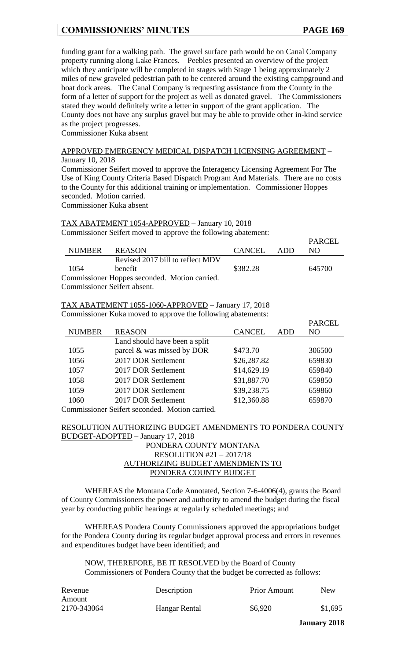funding grant for a walking path. The gravel surface path would be on Canal Company property running along Lake Frances. Peebles presented an overview of the project which they anticipate will be completed in stages with Stage 1 being approximately 2 miles of new graveled pedestrian path to be centered around the existing campground and boat dock areas. The Canal Company is requesting assistance from the County in the form of a letter of support for the project as well as donated gravel. The Commissioners stated they would definitely write a letter in support of the grant application. The County does not have any surplus gravel but may be able to provide other in-kind service as the project progresses.

Commissioner Kuka absent

#### APPROVED EMERGENCY MEDICAL DISPATCH LICENSING AGREEMENT – January 10, 2018

Commissioner Seifert moved to approve the Interagency Licensing Agreement For The Use of King County Criteria Based Dispatch Program And Materials. There are no costs to the County for this additional training or implementation. Commissioner Hoppes seconded. Motion carried.

Commissioner Kuka absent

#### TAX ABATEMENT 1054-APPROVED – January 10, 2018 Commissioner Seifert moved to approve the following abatement:

|               |                                               |            | <b>PARCEL</b> |
|---------------|-----------------------------------------------|------------|---------------|
| NUMBER REASON |                                               | CANCEL ADD | NO.           |
|               | Revised 2017 bill to reflect MDV              |            |               |
| -1054         | <b>benefit</b>                                | \$382.28   | 645700        |
|               | Commissioner Hoppes seconded. Motion carried. |            |               |
|               | <b>Commissioner Seifert absent.</b>           |            |               |

TAX ABATEMENT 1055-1060-APPROVED – January 17, 2018 Commissioner Kuka moved to approve the following abatements:

|                                                | . .                           |               |     |                 |
|------------------------------------------------|-------------------------------|---------------|-----|-----------------|
|                                                |                               |               |     | <b>PARCEL</b>   |
| <b>NUMBER</b>                                  | <b>REASON</b>                 | <b>CANCEL</b> | ADD | NO <sub>1</sub> |
|                                                | Land should have been a split |               |     |                 |
| 1055                                           | parcel & was missed by DOR    | \$473.70      |     | 306500          |
| 1056                                           | 2017 DOR Settlement           | \$26,287.82   |     | 659830          |
| 1057                                           | 2017 DOR Settlement           | \$14,629.19   |     | 659840          |
| 1058                                           | 2017 DOR Settlement           | \$31,887.70   |     | 659850          |
| 1059                                           | 2017 DOR Settlement           | \$39,238.75   |     | 659860          |
| 1060                                           | 2017 DOR Settlement           | \$12,360.88   |     | 659870          |
| Commissioner Seifert seconded. Motion carried. |                               |               |     |                 |

RESOLUTION AUTHORIZING BUDGET AMENDMENTS TO PONDERA COUNTY BUDGET-ADOPTED – January 17, 2018

#### PONDERA COUNTY MONTANA RESOLUTION #21 – 2017/18 AUTHORIZING BUDGET AMENDMENTS TO PONDERA COUNTY BUDGET

WHEREAS the Montana Code Annotated, Section 7-6-4006(4), grants the Board of County Commissioners the power and authority to amend the budget during the fiscal year by conducting public hearings at regularly scheduled meetings; and

WHEREAS Pondera County Commissioners approved the appropriations budget for the Pondera County during its regular budget approval process and errors in revenues and expenditures budget have been identified; and

NOW, THEREFORE, BE IT RESOLVED by the Board of County Commissioners of Pondera County that the budget be corrected as follows:

| Revenue     | Description   | <b>Prior Amount</b> | <b>New</b> |
|-------------|---------------|---------------------|------------|
| Amount      |               |                     |            |
| 2170-343064 | Hangar Rental | \$6,920             | \$1,695    |

**January 2018**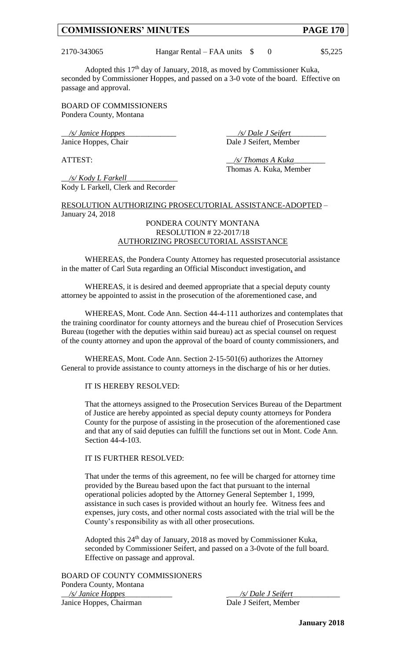2170-343065 Hangar Rental – FAA units \$ 0 \$5,225

Adopted this 17th day of January, 2018, as moved by Commissioner Kuka, seconded by Commissioner Hoppes, and passed on a 3-0 vote of the board. Effective on passage and approval.

BOARD OF COMMISSIONERS Pondera County, Montana

\_\_*/s/ Janice Hoppes*\_\_\_\_\_\_\_\_\_\_\_\_\_ \_\_\_*/s/ Dale J Seifert*\_\_\_\_\_\_\_\_\_ Janice Hoppes, Chair Dale J Seifert, Member

ATTEST:  $\frac{S}{I}$  ATTEST: Thomas A. Kuka, Member

\_\_*/s/ Kody L Farkell*\_\_\_\_\_\_\_\_\_\_\_\_\_ Kody L Farkell, Clerk and Recorder

RESOLUTION AUTHORIZING PROSECUTORIAL ASSISTANCE-ADOPTED – January 24, 2018

#### PONDERA COUNTY MONTANA RESOLUTION # 22-2017/18 AUTHORIZING PROSECUTORIAL ASSISTANCE

WHEREAS, the Pondera County Attorney has requested prosecutorial assistance in the matter of Carl Suta regarding an Official Misconduct investigation, and

WHEREAS, it is desired and deemed appropriate that a special deputy county attorney be appointed to assist in the prosecution of the aforementioned case, and

WHEREAS, Mont. Code Ann. Section 44-4-111 authorizes and contemplates that the training coordinator for county attorneys and the bureau chief of Prosecution Services Bureau (together with the deputies within said bureau) act as special counsel on request of the county attorney and upon the approval of the board of county commissioners, and

WHEREAS, Mont. Code Ann. Section 2-15-501(6) authorizes the Attorney General to provide assistance to county attorneys in the discharge of his or her duties.

#### IT IS HEREBY RESOLVED:

That the attorneys assigned to the Prosecution Services Bureau of the Department of Justice are hereby appointed as special deputy county attorneys for Pondera County for the purpose of assisting in the prosecution of the aforementioned case and that any of said deputies can fulfill the functions set out in Mont. Code Ann. Section 44-4-103.

#### IT IS FURTHER RESOLVED:

That under the terms of this agreement, no fee will be charged for attorney time provided by the Bureau based upon the fact that pursuant to the internal operational policies adopted by the Attorney General September 1, 1999, assistance in such cases is provided without an hourly fee. Witness fees and expenses, jury costs, and other normal costs associated with the trial will be the County's responsibility as with all other prosecutions.

Adopted this 24<sup>th</sup> day of January, 2018 as moved by Commissioner Kuka, seconded by Commissioner Seifert, and passed on a 3-0vote of the full board. Effective on passage and approval.

BOARD OF COUNTY COMMISSIONERS Pondera County, Montana \_\_*/s/ Janice Hoppes*\_\_\_\_\_\_\_\_\_\_\_\_ \_\_\_*/s/ Dale J Seifert*\_\_\_\_\_\_\_\_\_\_\_\_ Janice Hoppes, Chairman Dale J Seifert, Member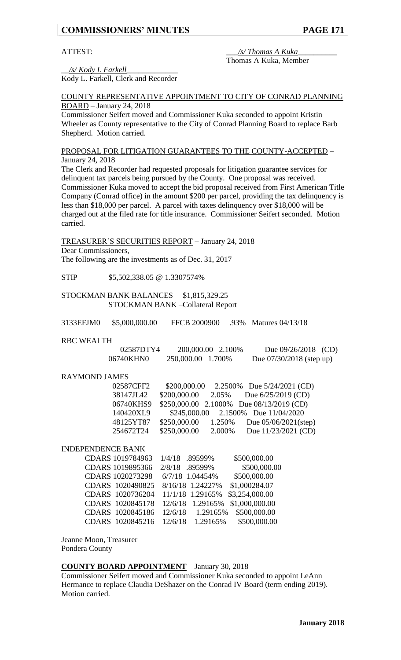#### ATTEST:  $\frac{1}{s'}$  Thomas A Kuka Thomas A Kuka, Member

\_\_*/s/ Kody L Farkell*\_\_\_\_\_\_\_\_\_\_\_\_\_ Kody L. Farkell, Clerk and Recorder

#### COUNTY REPRESENTATIVE APPOINTMENT TO CITY OF CONRAD PLANNING BOARD – January 24, 2018

Commissioner Seifert moved and Commissioner Kuka seconded to appoint Kristin Wheeler as County representative to the City of Conrad Planning Board to replace Barb Shepherd. Motion carried.

#### PROPOSAL FOR LITIGATION GUARANTEES TO THE COUNTY-ACCEPTED – January 24, 2018

The Clerk and Recorder had requested proposals for litigation guarantee services for delinquent tax parcels being pursued by the County. One proposal was received. Commissioner Kuka moved to accept the bid proposal received from First American Title Company (Conrad office) in the amount \$200 per parcel, providing the tax delinquency is less than \$18,000 per parcel. A parcel with taxes delinquency over \$18,000 will be charged out at the filed rate for title insurance. Commissioner Seifert seconded. Motion carried.

TREASURER'S SECURITIES REPORT – January 24, 2018 Dear Commissioners, The following are the investments as of Dec. 31, 2017

STIP \$5,502,338.05 @ 1.3307574%

#### STOCKMAN BANK BALANCES \$1,815,329.25 STOCKMAN BANK –Collateral Report

| 3133EFJM0 | \$5,000,000.00 | <b>FFCB 2000900</b> | .93% Matures 04/13/18 |
|-----------|----------------|---------------------|-----------------------|
|           |                |                     |                       |

#### RBC WEALTH

| 02587DTY4 | 200,000.00 2.100%  | Due $09/26/2018$ (CD)      |
|-----------|--------------------|----------------------------|
| 06740KHN0 | 250,000.00 1.700\% | Due $07/30/2018$ (step up) |

#### RAYMOND JAMES

| 02587CFF2 | \$200,000.00 |        | 2.2500% Due 5/24/2021 (CD)               |
|-----------|--------------|--------|------------------------------------------|
| 38147JL42 | \$200,000.00 | 2.05%  | Due $6/25/2019$ (CD)                     |
| 06740KHS9 |              |        | \$250,000.00 2.1000% Due 08/13/2019 (CD) |
| 140420XL9 |              |        | \$245,000.00 2.1500% Due 11/04/2020      |
| 48125YT87 | \$250,000.00 | 1.250% | Due $05/06/2021$ (step)                  |
| 254672T24 | \$250,000.00 | 2.000% | Due 11/23/2021 (CD)                      |

#### INDEPENDENCE BANK

| CDARS 1019784963 | 1/4/18 .89599%      | \$500,000.00   |
|------------------|---------------------|----------------|
| CDARS 1019895366 | 2/8/18<br>.89599%   | \$500,000.00   |
| CDARS 1020273298 | 6/7/18 1.04454%     | \$500,000.00   |
| CDARS 1020490825 | 8/16/18 1.24227%    | \$1,000284.07  |
| CDARS 1020736204 | 11/1/18 1.29165%    | \$3,254,000.00 |
| CDARS 1020845178 | 12/6/18 1.29165%    | \$1,000,000.00 |
| CDARS 1020845186 | 1.29165%<br>12/6/18 | \$500,000.00   |
| CDARS 1020845216 | 1.29165%<br>12/6/18 | \$500,000.00   |

Jeanne Moon, Treasurer Pondera County

#### **COUNTY BOARD APPOINTMENT** – January 30, 2018

Commissioner Seifert moved and Commissioner Kuka seconded to appoint LeAnn Hermance to replace Claudia DeShazer on the Conrad IV Board (term ending 2019). Motion carried.